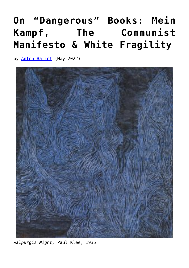## **[On "Dangerous" Books: Mein](https://www.newenglishreview.org/articles/on-dangerous-books-mein-kampf-the-communist-manifesto-white-fragility/) [Kampf, The Communist](https://www.newenglishreview.org/articles/on-dangerous-books-mein-kampf-the-communist-manifesto-white-fragility/) [Manifesto & White Fragility](https://www.newenglishreview.org/articles/on-dangerous-books-mein-kampf-the-communist-manifesto-white-fragility/)**

by **[Anton Balint](https://www.newenglishreview.org/?post_type=authors&p=40103&preview=true)** (May 2022)



*Walpurgis Night,* Paul Klee, 1935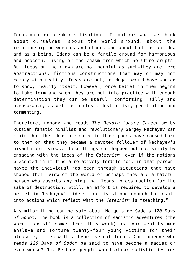Ideas make or break civilisations. It matters what we think about ourselves, about the world around, about the relationship between us and others and about God, as an idea and as a being. Ideas can be a fertile ground for harmonious and peaceful living or the chasm from which hellfire erupts. But ideas on their own are not harmful as such—they are mere abstractions, fictious constructions that may or may not comply with reality. Ideas are not, as Hegel would have wanted to show, reality itself. However, once belief in them begins to take form and when they are put into practice with enough determination they can be useful, comforting, silly and pleasurable, as well as useless, destructive, penetrating and tormenting.

Therefore, nobody who reads *The Revolutionary Catechism* by Russian fanatic nihilist and revolutionary Sergey Nechayev can claim that the ideas presented in those pages have caused harm to them or that they became a devoted follower of Nechayev's misanthropic views. These things can happen but not simply by engaging with the ideas of the *Catechism*, even if the notions presented in it find a relatively fertile soil in that person: maybe the individual has been through situations that have shaped their view of the world or perhaps they are a hateful person who absorbs anything that leads to destruction for the sake of destruction. Still, an effort is required to develop a belief in Nechayev's ideas that is strong enough to result into actions which reflect what the *Catechism* is "teaching."

A similar thing can be said about Marquis de Sade's *120 Days of Sodom*. The book is a collection of sadistic adventures (the word "sadist" comes from this work) as four wealthy men enslave and torture twenty-four young victims for their pleasure, often with a hyper sexual focus. Can someone who reads *120 Days of Sodom* be said to have become a sadist or even worse? No. Perhaps people who harbour sadistic desires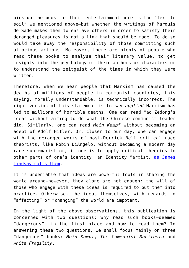pick up the book for their entertainment—here is the "fertile soil" we mentioned above—but whether the writings of Marquis de Sade makes them to enslave others in order to satisfy their deranged pleasures is not a link that should be made. To do so would take away the responsibility of those committing such atrocious actions. Moreover, there are plenty of people who read these books to analyse their literary value, to get insights into the psychology of their authors or characters or to understand the zeitgeist of the times in which they were written.

Therefore, when we hear people that Marxism has caused the deaths of millions of people in communist countries, this saying, morally understandable, is technically incorrect. The right version of this statement is to say *applied* Marxism has led to millions of horrible deaths. One can read Mao Zedong's ideas without aiming to do what the Chinese communist leader did. Similarly, one can read *Mein Kampf* without becoming an adept of Adolf Hitler. Or, closer to our day, one can engage with the deranged works of post-Derrick Bell critical race theorists, like Robin DiAngelo, without becoming a modern day race supremacist or, if one is to apply critical theories to other parts of one's identity, an Identity Marxist, [as James](https://newdiscourses.com/2021/12/a-brief-history-of-identity-marxism/) [Lindsay calls them.](https://newdiscourses.com/2021/12/a-brief-history-of-identity-marxism/)

It is undeniable that ideas are powerful tools in shaping the world around—however, they alone are not enough: the will of those who engage with these ideas is required to put them into practice. Otherwise, the ideas themselves, with regards to "affecting" or "changing" the world are impotent.

In the light of the above observations, this publication is concerned with two questions: why read such books—deemed "dangerous" —in the first place and how to read them? In answering these two questions, we shall focus mainly on three "dangerous" books: *Mein Kampf*, *The Communist Manifesto* and *White Fragility*.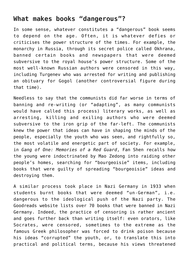## **What makes books "dangerous"?**

In some sense, whatever constitutes a "dangerous" book seems to depend on the age. Often, it is whatever defies or criticises the power structure of the times. For example, the monarchy in Russia, through its secret police called Okhrana, banned certain books and newspapers that were deemed subversive to the royal house's power structure. Some of the most well-known Russian authors were censored in this way, including Turgenev who was arrested for writing and publishing an obituary for Gogol (another controversial figure during that time).

Needless to say that the communists did far worse in terms of banning and re-writing (or "adapting", as many communists would have called this process) literary works, as well as arresting, killing and exiling authors who were deemed subversive to the iron grip of the far-left. The communists knew the power that ideas can have in shaping the minds of the people, especially the youth who was seen, and rightfully so, the most volatile and energetic part of society. For example, in *Gang of One: Memories of a Red Guard*, Fan Shen recalls how the young were indoctrinated by Mao Zedong into raiding other people's homes, searching for "bourgeoisie" items, including books that were guilty of spreading "bourgeoisie" ideas and destroying them.

A similar process took place in Nazi Germany in 1933 when students burnt books that were deemed "un-German", i.e. dangerous to the ideological push of the Nazi party. The Goodreads website lists over 70 books that were banned in Nazi Germany. Indeed, the practice of censoring is rather ancient and goes further back than writing itself: even orators, like Socrates, were censored, sometimes to the extreme as the famous Greek philosopher was forced to drink poison because his ideas "corrupted" the youth, or, to translate this into practical and political terms, because his views threatened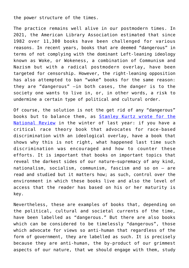the power structure of the times.

The practice remains well alive in our postmodern times. In 2021, the American Library Association estimated that since 1982 over 11,300 books have been challenged for various reasons. In recent years, books that are deemed "dangerous" in terms of not complying with the dominant Left-leaning ideology known as Woke, or Wokeness, a combination of Communism and Nazism but with a radical postmodern overlay, have been targeted for censorship. However, the right-leaning opposition has also attempted to ban "woke" books for the same reason: they are "dangerous" —in both cases, the danger is to the society one wants to live in, or, in other words, a risk to undermine a certain type of political and cultural order.

Of course, the solution is not the get rid of any "dangerous" books but to balance them, as [Stanley Kurtz wrote for the](https://www.nationalreview.com/corner/dont-ban-woke-school-library-books-balance-them/) [National Review](https://www.nationalreview.com/corner/dont-ban-woke-school-library-books-balance-them/) in the winter of last year: if you have a critical race theory book that advocates for race-based discrimination with an ideological overlay, have a book that shows why this is not right, what happened last time such discrimination was encouraged and how to counter these efforts. It is important that books on important topics that reveal the darkest sides of our nature—supremacy of any kind, nationalism, socialism, communism, fascism and so on – are read and studied but it matters how; as such, control over the environment in which these books live and also the level of access that the reader has based on his or her maturity is key.

Nevertheless, these are examples of books that, depending on the political, cultural and societal currents of the time, have been labelled as "dangerous." But there are also books which can be considered to be timelessly "dangerous", those which advocate for views so anti-human that regardless of the form of government, they are labelled as such. It is precisely because they are anti-human, the by-product of our grimmest aspects of our nature, that we should engage with them, study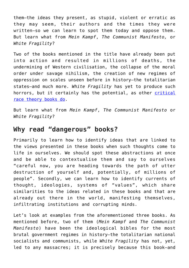them—the ideas they present, as stupid, violent or erratic as they may seem, their authors and the times they were written—so we can learn to spot them today and oppose them. But learn what from *Mein Kampf*, *The Communist Manifesto,* or *White Fragility*?

Two of the books mentioned in the title have already been put into action and resulted in millions of deaths, the undermining of Western civilisation, the collapse of the moral order under savage nihilism, the creation of new regimes of oppression on scales unseen before in history—the totalitarian states—and much more. *White Fragility* has yet to produce such horrors, but it certainly has the potential, as other [critical](https://power-of-ideas.com/critical-race-theory-and-communism-marxist/#Part_III_Marxist_Re-education_in_the_West_today_through_Critical_Race_Theory) [race theory books do](https://power-of-ideas.com/critical-race-theory-and-communism-marxist/#Part_III_Marxist_Re-education_in_the_West_today_through_Critical_Race_Theory).

But learn what from *Mein Kampf*, *The Communist Manifesto* or *White Fragility*?

## **Why read "dangerous" books?**

Primarily to learn how to identify ideas that are linked to the views presented in these books when such thoughts come to life in ourselves. We should spot these abstractions at once and be able to contextualise them and say to ourselves "careful now, you are heading towards the path of utter destruction of yourself and, potentially, of millions of people". Secondly, we can learn how to identify currents of thought, ideologies, systems of "values", which share similarities to the ideas related in these books and that are already out there in the world, manifesting themselves, infiltrating institutions and corrupting minds.

Let's look at examples from the aforementioned three books. As mentioned before, two of them (*Mein Kampf* and *The Communist Manifesto*) have been the ideological bibles for the most brutal government regimes in history—the totalitarian national socialists and communists, while *White Fragility* has not, yet, led to any massacres; it is precisely because this book—and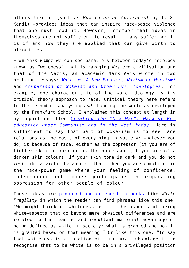others like it (such as *How to be an Antiracist* by I. X. Kendi) —provides ideas that can inspire race-based violence that one must read it. However, remember that ideas in themselves are not sufficient to result in any suffering: it is if and how they are applied that can give birth to atrocities.

From *Mein Kampf* we can see parallels between today's ideology known as "wokeness" that is ravaging Western civilisation and that of the Nazis, as academic Mark Avis wrote in two brilliant essays: *[Wokeism: A New Fascism, Nazism or Marxism?](https://www.markavis.org/2021/05/23/wokism_foundations_ideology/)* and *[Comparison of Wokeism and Other Evil Ideologies](https://www.markavis.org/2021/06/10/wokism_evil_ideology/)*. For example, one characteristic of the woke ideology is its critical theory approach to race. Critical theory here refers to the method of analysing *and* changing the world as developed by the Frankfurt School. I explained this concept at length in my report entitled *[Creating the "New Man": Marxist Re](https://power-of-ideas.com/critical-race-theory-and-communism-marxist/)[education under Communism and in the West today](https://power-of-ideas.com/critical-race-theory-and-communism-marxist/)*. Here is sufficient to say that part of Woke-ism is to see race relations as the basis of everything in society: whatever you do, is because of race, either as the oppressor (if you are of lighter skin colour) or as the oppressed (if you are of a darker skin colour); if your skin tone is dark and you do not *feel* like a victim because of that, then you are complicit in the race-power game where your feeling of confidence, independence and success participates in propagating oppression for other people of colour.

Those ideas are [promoted and defended in books](https://newdiscourses.com/?s=white+fragility) like *White Fragility* in which the reader can find phrases like this one: "We might think of whiteness as all the aspects of being white—aspects that go beyond mere physical differences and are related to the meaning and resultant material advantage of being defined as white in society: what is granted and how it is granted based on that meaning." Or like this one: "To say that whiteness is a location of structural advantage is to recognize that to be white is to be in a privileged position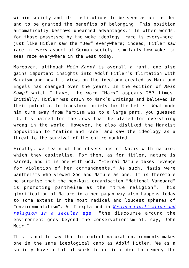within society and its institutions—to be seen as an insider and to be granted the benefits of belonging. This position automatically bestows unearned advantages." In other words, for those possessed by the woke ideology, race is everywhere, just like Hitler saw the "Jew" everywhere; indeed, Hitler saw race in every aspect of German society, similarly how Woke-ism sees race everywhere in the West today.

Moreover, although *Mein Kampf* is overall a rant, one also gains important insights into Adolf Hitler's flirtation with Marxism and how his views on the ideology created by Marx and Engels has changed over the years. In the edition of *Mein Kampf* which I have, the word "Marx" appears 257 times. Initially, Hitler was drawn to Marx's writings and believed in their potential to transform society for the better. What made him turn away from Marxism was to a large part, you guessed it, his hatred for the Jews that he blamed for everything wrong in the world. However, he also disliked the Marxist opposition to "nation and race" and saw the ideology as a threat to the survival of the entire mankind.

Finally, we learn of the obsessions of Nazis with nature, which they capitalise. For them, as for Hitler, nature is sacred, and it is one with God: "Eternal Nature takes revenge for violation of her commandments." As such, Nazis were pantheists who viewed God and Nature as one. It is therefore no surprise that the neo-Nazi organisation "National Vanguard" is promoting pantheism as the "true religion". This glorification of Nature in a neo-pagan way also happens today to some extent in the most radical and loudest spheres of "environmentalism". As I explained in *[Western civilisation and](https://power-of-ideas.com/western-civilisation-and-religion/) [religion in a secular age](https://power-of-ideas.com/western-civilisation-and-religion/)*, "the discourse around the environment goes beyond the conservationism of, say, John Muir."

This is not to say that to protect natural environments makes one in the same ideological camp as Adolf Hitler. We as a society have a lot of work to do in order to remedy the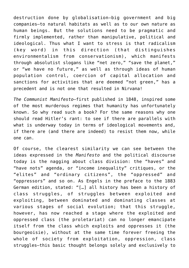destruction done by globalisation—big government and big companies—to natural habitats as well as to our own nature as human beings. But the solutions need to be pragmatic and firmly implemented, rather than manipulative, political and ideological. Thus what I want to stress is that radicalism (key word) in this direction (that distinguishes environmentalism from conservationism), which manifests through absolutist slogans like "net zero," "save the planet," or "we have no future," as well as through ideas of human population control, coercion of capital allocation and sanctions for activities that are deemed "not green," has a precedent and is not one that resulted in Nirvana!

*The Communist Manifesto—*first published in 1848, inspired some of the most murderous regimes that humanity has unfortunately known. So why read such a book? For the same reasons why one should read Hitler's rant: to see if there are parallels with what is underway today in terms of ideological movements and, if there are (and there are indeed) to resist them now, while one can.

Of course, the clearest similarity we can see between the ideas expressed in the *Manifesto* and the political discourse today is the nagging about class division: the "haves" and "have nots" agenda, or "income inequality" critiques, or the "elites" and "ordinary citizens", the "oppressed" and "oppressors" and so on. As Engels in the preface to the 1883 German edition, stated: "[…] all history has been a history of class struggles, of struggles between exploited and exploiting, between dominated and dominating classes at various stages of social evolution; that this struggle, however, has now reached a stage where the exploited and oppressed class (the proletariat) can no longer emancipate itself from the class which exploits and oppresses it (the bourgeoisie), without at the same time forever freeing the whole of society from exploitation, oppression, class struggles—this basic thought belongs solely and exclusively to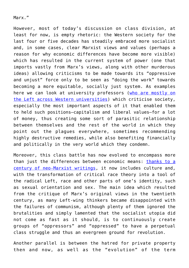Marx."

However, most of today's discussion on class division, at least for now, is empty rhetoric: the Western society for the last four or five decades has steadily embraced more socialist and, in some cases, clear Marxist views and values (perhaps a reason for why economic differences have become more visible) which has resulted in the current system of power (one that imports vastly from Marx's views, along with other murderous ideas) allowing criticisms to be made towards its "oppressive and unjust" force only to be seen as "doing the work" towards becoming a more equitable, socially just system. As examples here we can look at university professors ([who are mostly on](https://power-of-ideas.com/public-perception-of-hitler-and-stalin/#The_Whitewash_of_Communism_in_Educational_Institutions) [the Left across Western universities\)](https://power-of-ideas.com/public-perception-of-hitler-and-stalin/#The_Whitewash_of_Communism_in_Educational_Institutions) which criticise society, especially the most important aspects of it that enabled them to held such positions—capitalism and liberal values—for a lot of money, thus creating some sort of parasitic relationship between themselves and the rest of the world in which they point out the plagues everywhere, sometimes recommending highly destructive remedies, while also benefiting financially and politically in the very world which they condemn.

Moreover, this class battle has now evolved to encompass more than just the differences between economic means: [thanks to a](https://power-of-ideas.com/critical-race-theory-and-communism-marxist/#The_Origins_of_Marxist_Re-education_in_the_West_today) [century of neo-Marxist writings](https://power-of-ideas.com/critical-race-theory-and-communism-marxist/#The_Origins_of_Marxist_Re-education_in_the_West_today), it now includes culture and, with the transformation of critical race theory into a tool of the radical Left, race and other parts of one's identity, such as sexual orientation and sex. The main idea which resulted from the critique of Marx's original views in the twentieth century, as many Left-wing thinkers became disappointed with the failures of communism, although plenty of them ignored the brutalities and simply lamented that the socialist utopia did not come as fast as it should, is to continuously create groups of "oppressors" and "oppressed" to have a perpetual class struggle and thus an evergreen ground for revolution.

Another parallel is between the hatred for private property then and now, as well as the "evolution" of the term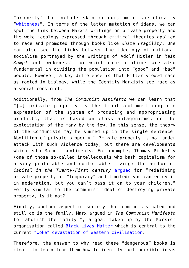"property" to include skin colour, more specifically "[whiteness"](https://harvardlawreview.org/1993/06/whiteness-as-property/). In terms of the latter mutation of ideas, we can spot the link between Marx's writings on private property and the woke ideology expressed through critical theories applied to race and promoted through books like *White Fragility*. One can also see the links between the ideology of national socialism portrayed by the writings of Adolf Hitler in *Mein Kampf* and "wokeness" for which race-relations are also fundamental in dividing the population into "good" and "bad" people. However, a key difference is that Hitler viewed race as rooted in biology, while the Identity Marxists see race as a social construct.

Additionally, from *The Communist Manifesto* we can learn that "[…] private property is the final and most complete expression of the system of producing and appropriating products, that is based on class antagonisms, on the exploitation of the many by the few. In this sense, the theory of the Communists may be summed up in the single sentence: Abolition of private property." Private property is not under attack with such violence today, but there are developments which echo Marx's sentiments. For example, Thomas Picketty (one of those so-called intellectuals who bash capitalism for a very profitable and comfortable living) the author of *Capital in the Twenty-First century* [argued](https://www.wired.co.uk/article/thomas-piketty-capital-ideology) for "redefining private property as "temporary" and limited: you can enjoy it in moderation, but you can't pass it on to your children." Eerily similar to the communist ideal of destroying private property, is it not?

Finally, another aspect of society that communists hated and still do is the family. Marx argued in *The Communist Manifesto* to "abolish the family!", a goal taken up by the Marxist organisation called **[Black Lives Matter](https://power-of-ideas.com/black-lives-matter-corporate-supporters/)** which is central to the current ["woke" devastation of Western civilisation.](https://newcriterion.com/issues/2022/3/the-mythologies-of-black-lives-matter)

Therefore, the answer to why read these "dangerous" books is clear: to learn from them how to identify such horrible ideas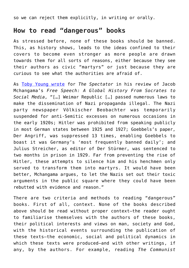so we can reject them explicitly, in writing or orally.

## **How to read "dangerous" books**

As stressed before, none of these books should be banned. This, as history shows, leads to the ideas confined to their covers to become even stronger as more people are drawn towards them for all sorts of reasons, either because they see their authors as civic "martyrs" or just because they are curious to see what the authorities are afraid of.

As [Toby Young wrote](https://www.spectator.co.uk/article/are-cancel-culture-activists-aware-of-their-sinister-bedfellows-) for *The Spectator* in his review of Jacob Mchangama's *Free Speech: A Global History From Socrates to Social Media*, "[…] Weimar Republic […] passed numerous laws to make the dissemination of Nazi propaganda illegal. The Nazi party newspaper Völkischer Beobachter was temporarily suspended for anti-Semitic excesses on numerous occasions in the early 1920s; Hitler was prohibited from speaking publicly in most German states between 1925 and 1927; Goebbels's paper, Der Angriff, was suppressed 13 times, enabling Goebbels to boast it was Germany's 'most frequently banned daily'; and Julius Streicher, as editor of Der Stürmer, was sentenced to two months in prison in 1929. Far from preventing the rise of Hitler, these attempts to silence him and his henchmen only served to transform them into martyrs. It would have been better, Mchangama argues, to let the Nazis set out their toxic arguments in the public square where they could have been rebutted with evidence and reason."

There are two criteria and methods to reading "dangerous" books. First of all, context. None of the books described above should be read without proper context—the reader ought to familiarise themselves with the authors of these books, their political interests and views on man, society and God, with the historical events surrounding the publication of these texts—the economic, social and political dynamics in which these texts were produced—and with other writings, if any, by the authors. For example, reading *The Communist*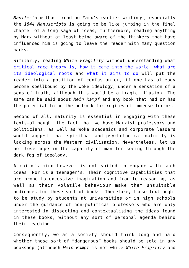*Manifesto* without reading Marx's earlier writings, especially the *1844 Manuscripts* is going to be like jumping in the final chapter of a long saga of ideas; furthermore, reading anything by Marx without at least being aware of the thinkers that have influenced him is going to leave the reader with many question marks.

Similarly, reading *White Fragility* without understanding what [critical race theory is, how it came into the world, what are](https://power-of-ideas.com/critical-race-theory-and-communism-marxist/#Critical_Pedagogy_Blending_Neo-Marxism_Freudian_Psychoanalysis_and_Postmodern_Thought) [its ideological roots](https://power-of-ideas.com/critical-race-theory-and-communism-marxist/#Critical_Pedagogy_Blending_Neo-Marxism_Freudian_Psychoanalysis_and_Postmodern_Thought) and [what it aims to do](https://newdiscourses.com/2022/02/workshop-1-what-is-critical-race-theory/) will put the reader into a position of confusion or, if one has already become spellbound by the woke ideology, under a sensation of a sens of truth, although this would be a tragic illusion. The same can be said about *Mein Kampf* and any book that had or has the potential to be the bedrock for regimes of immense terror.

Second of all, maturity is essential in engaging with these texts—although, the fact that we have Marxist professors and politicians, as well as Woke academics and corporate leaders would suggest that spiritual and psychological maturity is lacking across the Western civilisation. Nevertheless, let us not lose hope in the capacity of man for seeing through the dark fog of ideology.

A child's mind however is not suited to engage with such ideas. Nor is a teenager's. Their cognitive capabilities that are prone to excessive imagination and fragile reasoning, as well as their volatile behaviour make them unsuitable audiences for these sort of books. Therefore, these text ought to be study by students at universities or in high schools under the guidance of non-political professors who are only interested in dissecting and contextualising the ideas found in these books, without any sort of personal agenda behind their teaching.

Consequently, we as a society should think long and hard whether these sort of "dangerous" books should be sold in any bookshop (although *Mein Kampf* is not while *White Fragility* and